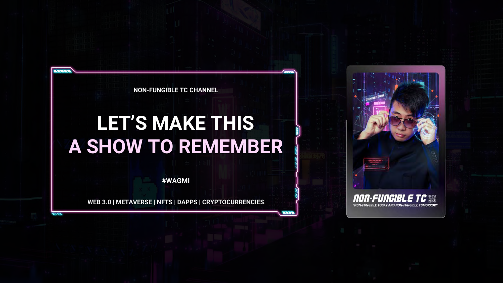**NON-FUNGIBLE TC CHANNEL**

 $\overline{\mathcal{L}(\mathcal{L})}$ 

### **LET'S MAKE THIS A SHOW TO REMEMBER**

**#WAGMI**

**WEB 3.0 | METAVERSE | NFTS | DAPPS | CRYPTOCURRENCIES**

 $2222$ 

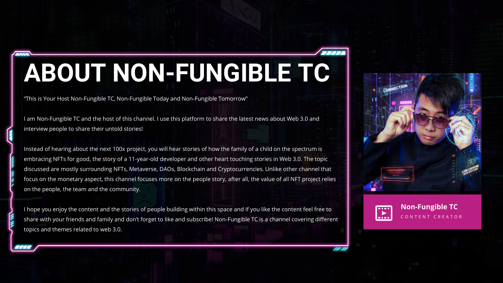### **ABOUT NON-FUNGIBLE TC**

"This is Your Host Non-Fungible TC, Non-Fungible Today and Non-Fungible Tomorrow"

E

I am Non-Fungible TC and the host of this channel. I use this platform to share the latest news about Web 3.0 and interview people to share their untold stories!

Instead of hearing about the next 100x project, you will hear stories of how the family of a child on the spectrum is embracing NFTs for good, the story of a 11-year-old developer and other heart touching stories in Web 3.0. The topic discussed are mostly surrounding NFTs, Metaverse, DAOs, Blockchain and Cryptocurrencies. Unlike other channel that focus on the monetary aspect, this channel focuses more on the people story, after all, the value of all NFT project relies on the people, the team and the community.

I hope you enjoy the content and the stories of people building within this space and if you like the content feel free to share with your friends and family and don't forget to like and subscribe! Non-Fungible TC is a channel covering different topics and themes related to web 3.0.





**Non-Fungible TC** C O N T E N T C R E A T O R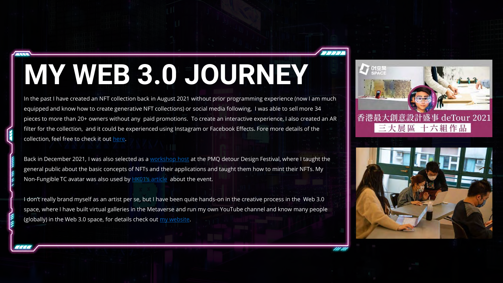## **MY WEB 3.0 JOURNEY**

In the past I have created an NFT collection back in August 2021 without prior programming experience (now I am much equipped and know how to create generative NFT collections) or social media following, I was able to sell more 34 pieces to more than 20+ owners without any paid promotions. To create an interactive experience, I also created an AR filter for the collection, and it could be experienced using Instagram or Facebook Effects. Fore more details of the collection, feel free to check it out [here.](https://whensquaremeetscircle.com/)

Back in December 2021, I was also selected as a [workshop host](https://detour.hk/main/tc/workshop/the-usefulness-of-nfts-learn-to-mint-your-nfts/) at the PMQ detour Design Festival, where I taught the general public about the basic concepts of NFTs and their applications and taught them how to mint their NFTs. My Non-Fungible TC avatar was also used by [HK01's article](https://www.hk01.com/01%E6%B4%BB%E5%8B%95/702190/detour-2021-%E8%A8%AD%E8%A8%88%E6%BA%90%E6%96%BC%E7%94%9F%E6%B4%BB-%E5%85%8D%E8%B2%BB%E5%8F%83%E8%88%87%E4%B8%89%E5%A4%A7%E5%B1%95%E5%8D%80%E7%8E%A9%E8%BD%89pmq) about the event.

I don't really brand myself as an artist per se, but I have been quite hands-on in the creative process in the Web 3.0 space, where I have built virtual galleries in the Metaverse and run my own YouTube channel and know many people (globally) in the Web 3.0 space, for details check out  $m<sub>V</sub>$  website.



香港最大創意設計盛事 deTour 2021 三大展區 十六組作品

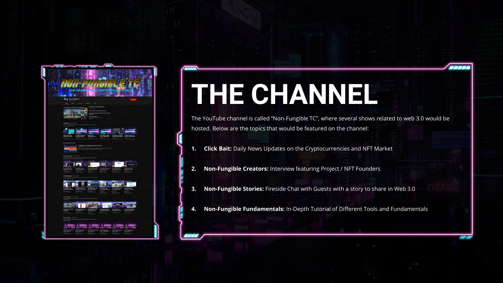

# **THE CHANNEL**

 $\overline{z}$ 

<u>aaa</u>

The YouTube channel is called "Non-Fungible TC", where several shows related to web 3.0 would be hosted. Below are the topics that would be featured on the channel:

 $\overline{\mathcal{L}^{\prime\prime}}$ 

ru m

- **1. Click Bait:** Daily News Updates on the Cryptocurrencies and NFT Market
- **2. Non-Fungible Creators:** Interview featuring Project / NFT Founders
- **3. Non-Fungible Stories:** Fireside Chat with Guests with a story to share in Web 3.0
- **4. Non-Fungible Fundamentals:** In-Depth Tutorial of Different Tools and Fundamentals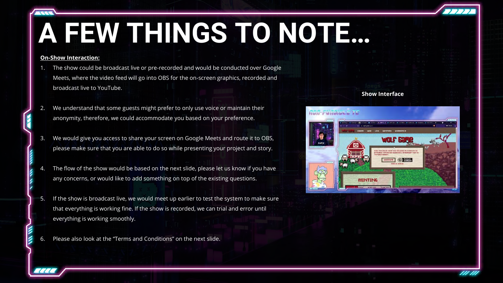## **A FEW THINGS TO NOTE…**

#### **On-Show Interaction:**

- The show could be broadcast live or pre-recorded and would be conducted over Google Meets, where the video feed will go into OBS for the on-screen graphics, recorded and broadcast live to YouTube.
- We understand that some guests might prefer to only use voice or maintain their anonymity, therefore, we could accommodate you based on your preference.
- 3. We would give you access to share your screen on Google Meets and route it to OBS, please make sure that you are able to do so while presenting your project and story.
- The flow of the show would be based on the next slide, please let us know if you have any concerns, or would like to add something on top of the existing questions.
- 5. If the show is broadcast live, we would meet up earlier to test the system to make sure that everything is working fine. If the show is recorded, we can trial and error until everything is working smoothly.
- Please also look at the "Terms and Conditions" on the next slide.

#### **Show Interface**



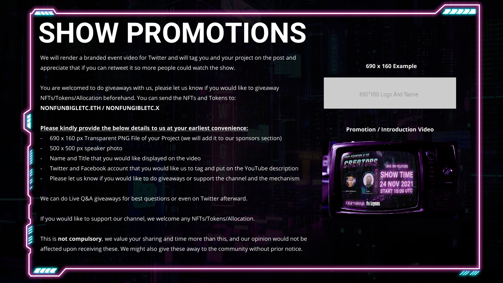### **SHOW PROMOTIONS**

We will render a branded event video for Twitter and will tag you and your project on the post and appreciate that if you can retweet it so more people could watch the show.

You are welcomed to do giveaways with us, please let us know if you would like to giveaway NFTs/Tokens/Allocation beforehand. You can send the NFTs and Tokens to: **NONFUNBIGLETC.ETH / NONFUNGIBLETC.X**

#### **Please kindly provide the below details to us at your earliest convenience:**

- 690 x 160 px Transparent PNG File of your Project (we will add it to our sponsors section)
- 500 x 500 px speaker photo
- Name and Title that you would like displayed on the video
- Twitter and Facebook account that you would like us to tag and put on the YouTube description
- Please let us know if you would like to do giveaways or support the channel and the mechanism

We can do Live Q&A giveaways for best questions or even on Twitter afterward.

If you would like to support our channel, we welcome any NFTs/Tokens/Allocation.

This is **not compulsory**, we value your sharing and time more than this, and our opinion would not be affected upon receiving these. We might also give these away to the community without prior notice.

#### **690 x 160 Example**

690\*160 Logo And Name

#### **Promotion / Introduction Video**



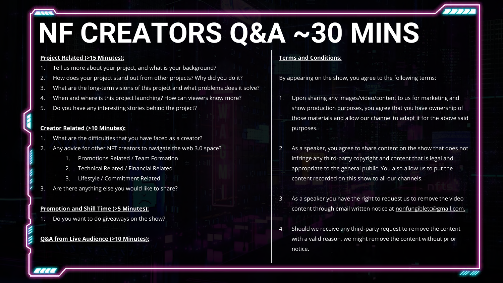## **NF CREATORS Q&A ~30 MINS**

#### **Project Related (>15 Minutes):**

- Tell us more about your project, and what is your background?
- 2. How does your project stand out from other projects? Why did you do it?
- 3. What are the long-term visions of this project and what problems does it solve?
- When and where is this project launching? How can viewers know more?
- 5. Do you have any interesting stories behind the project?

#### **Creator Related (>10 Minutes):**

- What are the difficulties that you have faced as a creator?
- 2. Any advice for other NFT creators to navigate the web 3.0 space?
	- 1. Promotions Related / Team Formation
	- 2. Technical Related / Financial Related
	- 3. Lifestyle / Commitment Related
- Are there anything else you would like to share?

#### **Promotion and Shill Time (>5 Minutes):**

1. Do you want to do giveaways on the show?

#### **Q&A from Live Audience (>10 Minutes):**

#### **Terms and Conditions:**

By appearing on the show, you agree to the following terms:

- 1. Upon sharing any images/video/content to us for marketing and show production purposes, you agree that you have ownership of those materials and allow our channel to adapt it for the above said purposes.
- As a speaker, you agree to share content on the show that does not infringe any third-party copyright and content that is legal and appropriate to the general public. You also allow us to put the content recorded on this show to all our channels.
- 3. As a speaker you have the right to request us to remove the video content through email written notice at [nonfungibletc@gmail.com.](mailto:nonfungibletc@gmail.com)
- 4. Should we receive any third-party request to remove the content with a valid reason, we might remove the content without prior notice.

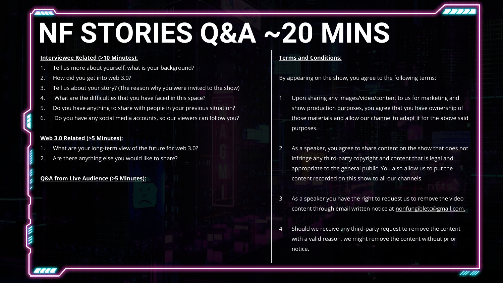### **NF STORIES Q&A ~20 MINS**

#### **Interviewee Related (>10 Minutes):**

- Tell us more about yourself, what is your background?
- 2. How did you get into web 3.0?
- Tell us about your story? (The reason why you were invited to the show)
- 4. What are the difficulties that you have faced in this space?
- 5. Do you have anything to share with people in your previous situation?
- 6. Do you have any social media accounts, so our viewers can follow you?

#### **Web 3.0 Related (>5 Minutes):**

- What are your long-term view of the future for web 3.0?
- Are there anything else you would like to share?

#### **Q&A from Live Audience (>5 Minutes):**

#### **Terms and Conditions:**

By appearing on the show, you agree to the following terms:

- 1. Upon sharing any images/video/content to us for marketing and show production purposes, you agree that you have ownership of those materials and allow our channel to adapt it for the above said purposes.
- 2. As a speaker, you agree to share content on the show that does not infringe any third-party copyright and content that is legal and appropriate to the general public. You also allow us to put the content recorded on this show to all our channels.
- 3. As a speaker you have the right to request us to remove the video content through email written notice at [nonfungibletc@gmail.com.](mailto:nonfungibletc@gmail.com)
- 4. Should we receive any third-party request to remove the content with a valid reason, we might remove the content without prior notice.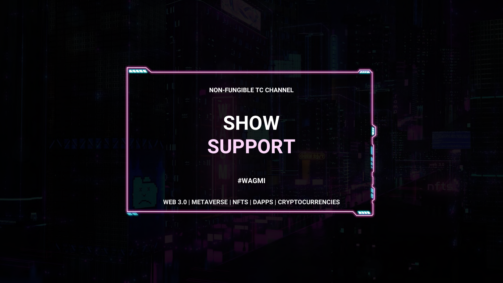**NON-FUNGIBLE TC CHANNEL**

**FREE** 

 $2227$ 

 $\frac{1}{2}$ 

 $m m$ 

### **SHOW SUPPORT**

**#WAGMI**

**WEB 3.0 | METAVERSE | NFTS | DAPPS | CRYPTOCURRENCIES**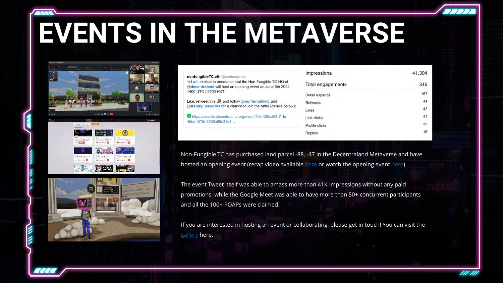### **EVENTS IN THE METAVERSE**





| nonfungibleTC.eth @nonfungibletc                                                                                            |  |
|-----------------------------------------------------------------------------------------------------------------------------|--|
| 1/ I am excited to announce that the Non-Fungible TC HQ at                                                                  |  |
| @decentraland will host an opening event on June 5th 2022<br>1400 UTC / 2200 HKT!                                           |  |
| Like, retweet this $\Box$ and follow @nonfungibletc and<br>@KennyFireworks for a chance to join the raffle (details below)! |  |
| https://events.decentraland.org/event/?id=45fbcf88-71fc-<br>4bbd-973b-2266a89c31e1                                          |  |

| mpressions       | 41,304 |  |
|------------------|--------|--|
| otal engagements | 346    |  |
| etail expands    | 167    |  |
| <b>letweets</b>  | 44     |  |
| ikes             | 43     |  |
| ink clicks       | 41     |  |
| rofile clicks    | 35     |  |
| <i>deplies</i>   | 16     |  |
|                  |        |  |

Non-Fungible TC has purchased land parcel -88, -47 in the Decentraland Metaverse and have hosted an opening event (recap video available [here](https://twitter.com/nonfungibletc/status/1533786174590193664) or watch the opening event [here\)](https://youtu.be/1H2WJu1Z6ao).

The event Tweet itself was able to amass more than 41K impressions without any paid promotions, while the Google Meet was able to have more than 50+ concurrent participants and all the 100+ POAPs were claimed.

If you are interested in hosting an event or collaborating, please get in touch! You can visit the [gallery](https://play.decentraland.org/?island=Inc8y&position=-87%2C-47&realm=dg) here.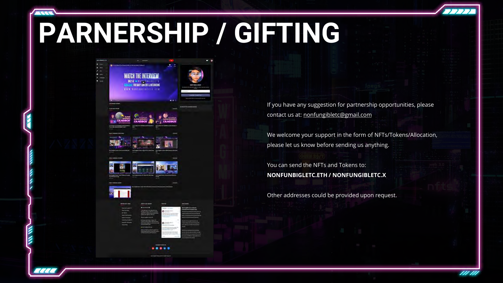### **PARNERSHIP / GIFTING**

| <b>WATCH THE INTERVIEW</b><br><b>WWW.NONEWASSECONTROL</b> |  |
|-----------------------------------------------------------|--|
|                                                           |  |
|                                                           |  |
|                                                           |  |
|                                                           |  |
|                                                           |  |
|                                                           |  |
|                                                           |  |
|                                                           |  |
|                                                           |  |
|                                                           |  |
|                                                           |  |
|                                                           |  |

If you have any suggestion for partnership opportunities, please contact us at: [nonfungibletc@gmail.com](mailto:nonfungibletc@gmail.com)

We welcome your support in the form of NFTs/Tokens/Allocation, please let us know before sending us anything.

You can send the NFTs and Tokens to: **NONFUNBIGLETC.ETH / NONFUNGIBLETC.X**

Other addresses could be provided upon request.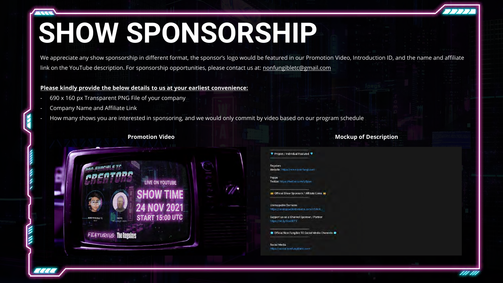### **SHOW SPONSORSHIP**

We appreciate any show sponsorship in different format, the sponsor's logo would be featured in our Promotion Video, Introduction ID, and the name and affiliate link on the YouTube description. For sponsorship opportunities, please contact us at: [nonfungibletc@gmail.com](mailto:nonfungibletc@gmail.com)

#### **Please kindly provide the below details to us at your earliest convenience:**

- 690 x 160 px Transparent PNG File of your company
- Company Name and Affiliate Link
- How many shows you are interested in sponsoring, and we would only commit by video based on our program schedule

#### **Promotion Video**



#### **Mockup of Description**

#### Project / Individual Featured

**Regulars** Website: https://www.non-fungi.com

Popps Twitter: https://twitter.com/p0pps

**M** Official Show Sponsors / Affiliate Links M

**Unstoppable Domains** https://unstoppabledomains.com/t/04c8.

Support us as a Channel Sponsor / Partner https://bit.lv/9ca0DT9

Official Non-Fungible TC Social Media Channels

Social Media https://social.nonfungibletc.com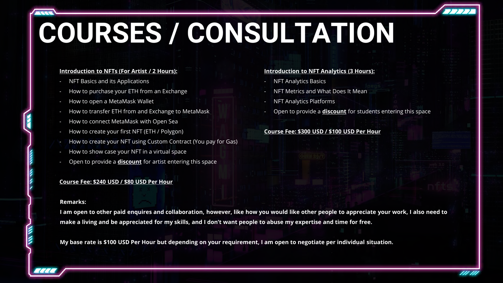### **COURSES / CONSULTATION**

#### **Introduction to NFTs (For Artist / 2 Hours):**

- NFT Basics and its Applications
- How to purchase your ETH from an Exchange
- How to open a MetaMask Wallet
- How to transfer ETH from and Exchange to MetaMask
- How to connect MetaMask with Open Sea
- How to create your first NFT (ETH / Polygon)
- How to create your NFT using Custom Contract (You pay for Gas)
- How to show case your NFT in a virtual space
- Open to provide a **discount** for artist entering this space

#### **Course Fee: \$240 USD / \$80 USD Per Hour**

#### **Remarks:**

**I am open to other paid enquires and collaboration, however, like how you would like other people to appreciate your work, I also need to make a living and be appreciated for my skills, and I don't want people to abuse my expertise and time for free.** 

**My base rate is \$100 USD Per Hour but depending on your requirement, I am open to negotiate per individual situation.**

#### **Introduction to NFT Analytics (3 Hours):**

- NFT Analytics Basics
- NFT Metrics and What Does It Mean
- **NFT Analytics Platforms**
- Open to provide a **discount** for students entering this space

#### **Course Fee: \$300 USD / \$100 USD Per Hour**